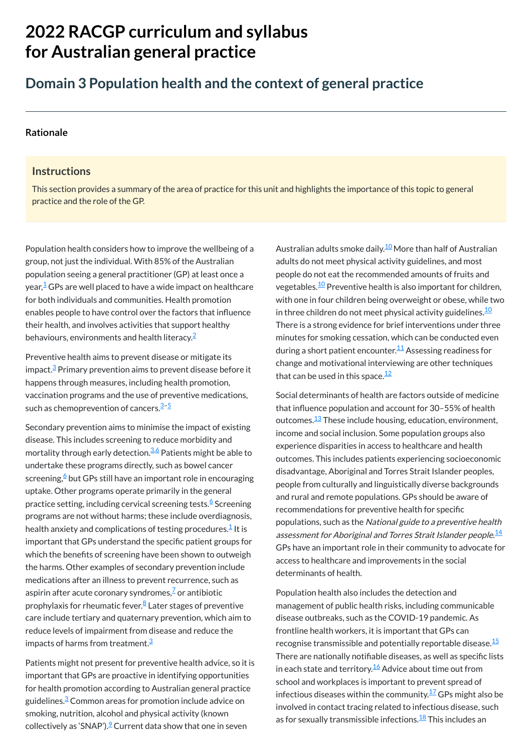# **2022 RACGP curriculum and syllabus for Australian [general practice](https://www.racgp.org.au/Curriculum-and-Syllabus/home)**

## **Domain 3 Population health and the context of general practice**

#### **[Rationale](javascript:void(0))**

#### **Instructions**

This section provides a summary of the area of practice for this unit and highlights the importance of this topic to general practice and the role of the GP.

Preventive health aims to prevent disease or mitigate its impact.<sup>[3](#page-1-2)</sup> Primary prevention aims to prevent disease before it happens through measures, including health promotion, vaccination programs and the use of preventive medications, such as chemoprevention of cancers.<sup>[3](#page-1-2)-5</sup>

Secondary prevention aims to minimise the impact of existing disease. This includes screening to reduce morbidity and mortality through early detection.<sup>[3](#page-1-2),[6](#page-1-4)</sup> Patients might be able to undertake these programs directly, such as bowel cancer screening,<sup>[6](#page-1-4)</sup> but GPs still have an important role in encouraging uptake. Other programs operate primarily in the general practice setting, including cervical screening tests.<sup>[6](#page-1-4)</sup> Screening programs are not without harms; these include overdiagnosis, health anxiety and complications of testing procedures. $\frac{1}{2}$  $\frac{1}{2}$  $\frac{1}{2}$  It is important that GPs understand the specific patient groups for which the benefits of screening have been shown to outweigh the harms. Other examples of secondary prevention include medications after an illness to prevent recurrence, such as aspirin after acute coronary syndromes, $\frac{7}{5}$  $\frac{7}{5}$  $\frac{7}{5}$ or antibiotic prophylaxis for rheumatic fever.<sup>[8](#page-1-6)</sup> Later stages of preventive care include tertiary and quaternary prevention, which aim to reduce levels of impairment from disease and reduce the impacts of harms from treatment. $^{\underline{3}}$  $^{\underline{3}}$  $^{\underline{3}}$ 

Australian adults smoke daily.<sup>[10](#page-1-8)</sup> More than half of Australian adults do not meet physical activity guidelines, and most people do not eat the recommended amounts of fruits and vegetables. $^\mathrm{10}$  $^\mathrm{10}$  $^\mathrm{10}$  Preventive health is also important for children, with one in four children being overweight or obese, while two in three children do not meet physical activity guidelines. $^{\underline{10}}$  $^{\underline{10}}$  $^{\underline{10}}$ There is a strong evidence for brief interventions under three minutes for smoking cessation, which can be conducted even during a short patient encounter.<sup>[11](#page-1-9)</sup> Assessing readiness for change and motivational interviewing are other techniques that can be used in this space.<sup>[12](#page-1-10)</sup>

Patients might not present for preventive health advice, so it is important that GPs are proactive in identifying opportunities for health promotion according to Australian general practice guidelines. $\frac{3}{2}$  $\frac{3}{2}$  $\frac{3}{2}$ Common areas for promotion include advice on smoking, nutrition, alcohol and physical activity (known collectively as 'SNAP').<sup>2</sup> Current data show that one in seven

Population health also includes the detection and management of public health risks, including communicable disease outbreaks, such as the COVID-19 pandemic. As frontline health workers, it is important that GPs can recognise transmissible and potentially reportable disease. $^{\underline{15}}$  $^{\underline{15}}$  $^{\underline{15}}$ There are nationally notifiable diseases, as well as specific lists in each state and territory. $^{\underline{16}}$  $^{\underline{16}}$  $^{\underline{16}}$  Advice about time out from school and workplaces is important to prevent spread of infectious diseases within the community. $^{17}{\rm GPs}$  $^{17}{\rm GPs}$  $^{17}{\rm GPs}$  might also be involved in contact tracing related to infectious disease, such as for sexually transmissible infections.<sup>[18](#page-1-16)</sup> This includes an

Population health considers how to improve the wellbeing of a group, not just the individual. With 85% of the Australian population seeing a general practitioner (GP) at least once a year, $\frac{1}{2}$  $\frac{1}{2}$  $\frac{1}{2}$ GPs are well placed to have a wide impact on healthcare for both individuals and communities. Health promotion enables people to have control over the factors that influence their health, and involves activities that support healthy behaviours, environments and health literacy. [2](#page-1-1)

> Social determinants of health are factors outside of medicine that influence population and account for 30–55% of health outcomes.<sup>[13](#page-1-11)</sup> These include housing, education, environment, income and social inclusion. Some population groups also experience disparities in access to healthcare and health outcomes. This includes patients experiencing socioeconomic disadvantage, Aboriginal and Torres Strait Islander peoples, people from culturally and linguistically diverse backgrounds and rural and remote populations. GPs should be aware of recommendations for preventive health for specific populations, such as the National guide to <sup>a</sup> preventive health assessment for Aboriginal and Torres Strait Islander people. $^{\underline{14}}$  $^{\underline{14}}$  $^{\underline{14}}$ GPs have an important role in their community to advocate for access to healthcare and improvements in the social

determinants of health.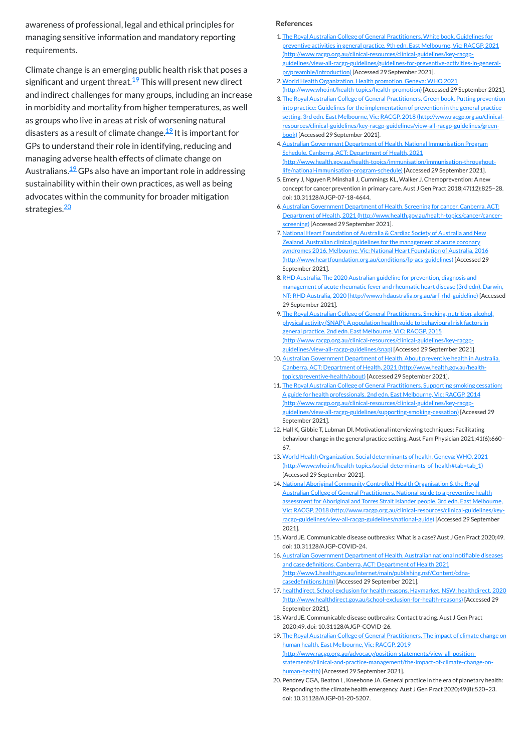awareness of professional, legal and ethical principles for managing sensitive information and mandatory reporting requirements.

Climate change is an emerging public health risk that poses a significant and urgent threat.<sup>[19](#page-1-17)</sup> This will present new direct and indirect challenges for many groups, including an increase in morbidity and mortality from higher temperatures, as well as groups who live in areas at risk of worsening natural disasters as a result of climate change.<sup>[19](#page-1-17)</sup> It is important for GPs to understand their role in identifying, reducing and managing adverse health effects of climate change on Australians.<sup>[19](#page-1-17)</sup> GPs also have an important role in addressing sustainability within their own practices, as well as being advocates within the community for broader mitigation strategies.<sup>[20](#page-1-18)</sup>

#### **References**

<span id="page-1-15"></span>17. healthdirect. School exclusion for health reasons. Haymarket, NSW: healthdirect, 2020 [\(http://www.healthdirect.gov.au/school-exclusion-for-health-reasons\)](http://www.healthdirect.gov.au/school-exclusion-for-health-reasons) [Accessed 29 September 2021].

- <span id="page-1-0"></span>1. The Royal Australian College of General Practitioners. White book. Guidelines for preventive activities in general practice. 9th edn. East Melbourne, Vic: RACGP, 2021 (http://www.racgp.org.au/clinical-resources/clinical-guidelines/key-racgp[guidelines/view-all-racgp-guidelines/guidelines-for-preventive-activities-in-general](http://www.racgp.org.au/clinical-resources/clinical-guidelines/key-racgp-guidelines/view-all-racgp-guidelines/guidelines-for-preventive-activities-in-general-pr/preamble/introduction)pr/preamble/introduction) [Accessed 29 September 2021].
- <span id="page-1-1"></span>2.World Health Organization. Health promotion. Geneva: WHO 2021 [\(http://www.who.int/health-topics/health-promotion\)](http://www.who.int/health-topics/health-promotion) [Accessed 29 September 2021].
- <span id="page-1-2"></span>3. The Royal Australian College of General Practitioners. Green book. Putting prevention into practice: Guidelines for the implementation of prevention in the general practice setting. 3rd edn. East Melbourne, Vic: RACGP, 2018 (http://www.racgp.org.au/clinical[resources/clinical-guidelines/key-racgp-guidelines/view-all-racgp-guidelines/green](http://www.racgp.org.au/clinical-resources/clinical-guidelines/key-racgp-guidelines/view-all-racgp-guidelines/green-book)book) [Accessed 29 September 2021].
- 4.Australian Government Department of Health. National Immunisation Program Schedule. Canberra, ACT: Department of Health, 2021 [\(http://www.health.gov.au/health-topics/immunisation/immunisation-throughout](http://www.health.gov.au/health-topics/immunisation/immunisation-throughout-life/national-immunisation-program-schedule)life/national-immunisation-program-schedule) [Accessed 29 September 2021].
- <span id="page-1-3"></span>5. Emery J, Nguyen P, Minshall J, Cummings KL, Walker J. Chemoprevention: A new concept for cancer prevention in primary care. Aust J Gen Pract 2018;47(12):825–28. doi: 10.31128/AJGP-07-18-4644.
- <span id="page-1-4"></span>6.Australian Government Department of Health. Screening for cancer. Canberra. ACT: Department of Health, 2021 [\(http://www.health.gov.au/health-topics/cancer/cancer](http://www.health.gov.au/health-topics/cancer/cancer-screening)screening) [Accessed 29 September 2021].
- <span id="page-1-5"></span>7. National Heart Foundation of Australia & Cardiac Society of Australia and New Zealand. Australian clinical guidelines for the management of acute coronary syndromes 2016. Melbourne, Vic: National Heart Foundation of Australia, 2016 [\(http://www.heartfoundation.org.au/conditions/fp-acs-guidelines\)](http://www.heartfoundation.org.au/conditions/fp-acs-guidelines) [Accessed 29 September 2021].
- <span id="page-1-6"></span>8.RHD Australia. The 2020 Australian guideline for prevention, diagnosis and management of acute rheumatic fever and rheumatic heart disease (3rd edn). Darwin, NT: RHD Australia, 2020 [\(http://www.rhdaustralia.org.au/arf-rhd-guideline\)](http://www.rhdaustralia.org.au/arf-rhd-guideline) [Accessed 29 September 2021].
- <span id="page-1-7"></span>9. The Royal Australian College of General Practitioners. Smoking, nutrition, alcohol, physical activity (SNAP): A population health guide to behavioural risk factors in general practice. 2nd edn. East Melbourne, VIC: RACGP, 2015 [\(http://www.racgp.org.au/clinical-resources/clinical-guidelines/key-racgp](http://www.racgp.org.au/clinical-resources/clinical-guidelines/key-racgp-guidelines/view-all-racgp-guidelines/snap)guidelines/view-all-racgp-guidelines/snap) [Accessed 29 September 2021].
- <span id="page-1-8"></span>10. Australian Government Department of Health. About preventive health in Australia. Canberra, ACT: Department of Health, 2021 [\(http://www.health.gov.au/health](http://www.health.gov.au/health-topics/preventive-health/about)topics/preventive-health/about) [Accessed 29 September 2021].
- <span id="page-1-9"></span>11. The Royal Australian College of General Practitioners. Supporting smoking cessation: A guide for health professionals. 2nd edn. East Melbourne, Vic: RACGP, 2014 [\(http://www.racgp.org.au/clinical-resources/clinical-guidelines/key-racgp](http://www.racgp.org.au/clinical-resources/clinical-guidelines/key-racgp-guidelines/view-all-racgp-guidelines/supporting-smoking-cessation)guidelines/view-all-racgp-guidelines/supporting-smoking-cessation) [Accessed 29 September 2021].
- <span id="page-1-10"></span>12. Hall K, Gibbie T, Lubman DI. Motivational interviewing techniques: Facilitating behaviour change in the general practice setting. Aust Fam Physician 2021;41(6):660– 67.
- <span id="page-1-11"></span>13. World Health Organization. Social determinants of health. Geneva: WHO, 2021 [\(http://www.who.int/health-topics/social-determinants-of-health#tab=tab\\_1\)](http://www.who.int/health-topics/social-determinants-of-health#tab=tab_1) [Accessed 29 September 2021].
- <span id="page-1-12"></span>14. National Aboriginal Community Controlled Health Organisation & the Royal Australian College of General Practitioners. National guide to a preventive health assessment for Aboriginal and Torres Strait Islander people. 3rd edn. East Melbourne, Vic: RACGP, 2018 [\(http://www.racgp.org.au/clinical-resources/clinical-guidelines/key](http://www.racgp.org.au/clinical-resources/clinical-guidelines/key-racgp-guidelines/view-all-racgp-guidelines/national-guide)racgp-guidelines/view-all-racgp-guidelines/national-guide) [Accessed 29 September 2021].
- <span id="page-1-13"></span>15. Ward JE. Communicable disease outbreaks: What is a case? Aust J Gen Pract 2020;49. doi: 10.31128/AJGP-COVID-24.
- <span id="page-1-14"></span>16. Australian Government Department of Health. Australian national notifiable diseases and case definitions. Canberra, ACT: Department of Health 2021

[\(http://www1.health.gov.au/internet/main/publishing.nsf/Content/cdna](http://www1.health.gov.au/internet/main/publishing.nsf/Content/cdna-casedefinitions.htm)casedefinitions.htm) [Accessed 29 September 2021].

<span id="page-1-16"></span>18. Ward JE. Communicable disease outbreaks: Contact tracing. Aust J Gen Pract 2020;49. doi: 10.31128/AJGP-COVID-26.

<span id="page-1-17"></span>19. The Royal Australian College of General Practitioners. The impact of climate change on human health. East Melbourne, Vic: RACGP, 2019 (http://www.racgp.org.au/advocacy/position-statements/view-all-position-

[statements/clinical-and-practice-management/the-impact-of-climate-change-on-](http://www.racgp.org.au/advocacy/position-statements/view-all-position-statements/clinical-and-practice-management/the-impact-of-climate-change-on-human-health)

<span id="page-1-18"></span>human-health) [Accessed 29 September 2021].

20. Pendrey CGA, Beaton L, Kneebone JA. General practice in the era of planetary health: Responding to the climate health emergency. Aust J Gen Pract 2020;49(8):520–23. doi: 10.31128/AJGP-01-20-5207.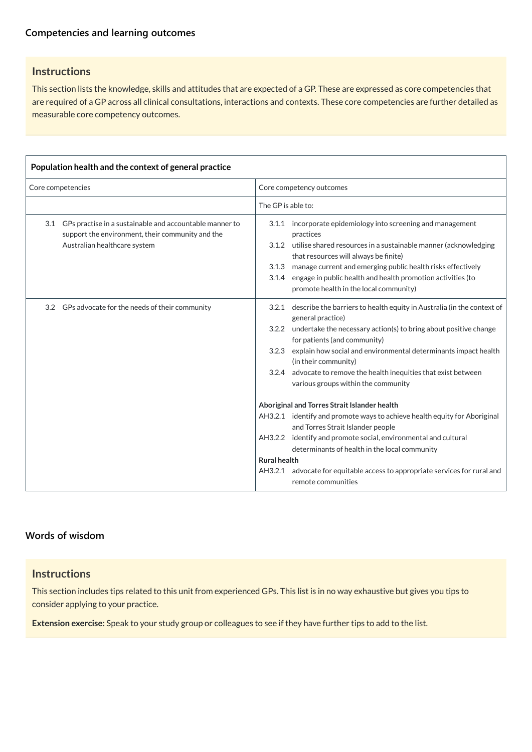## **Instructions**

This section lists the knowledge, skills and attitudes that are expected of a GP. These are expressed as core competencies that are required of a GP across all clinical consultations, interactions and contexts. These core competencies are further detailed as measurable core competency outcomes.

| Population health and the context of general practice |                                                                                                                                             |                                           |                                                                                                                                                                                                                                                                                                                                                                                                  |  |  |  |
|-------------------------------------------------------|---------------------------------------------------------------------------------------------------------------------------------------------|-------------------------------------------|--------------------------------------------------------------------------------------------------------------------------------------------------------------------------------------------------------------------------------------------------------------------------------------------------------------------------------------------------------------------------------------------------|--|--|--|
| Core competencies                                     |                                                                                                                                             | Core competency outcomes                  |                                                                                                                                                                                                                                                                                                                                                                                                  |  |  |  |
|                                                       |                                                                                                                                             | The GP is able to:                        |                                                                                                                                                                                                                                                                                                                                                                                                  |  |  |  |
| 3.1                                                   | GPs practise in a sustainable and accountable manner to<br>support the environment, their community and the<br>Australian healthcare system | 3.1.1<br>3.1.2<br>3.1.4                   | incorporate epidemiology into screening and management<br>practices<br>utilise shared resources in a sustainable manner (acknowledging<br>that resources will always be finite)<br>3.1.3 manage current and emerging public health risks effectively<br>engage in public health and health promotion activities (to<br>promote health in the local community)                                    |  |  |  |
|                                                       | 3.2 GPs advocate for the needs of their community                                                                                           | 3.2.1<br>3.2.2<br>3.2.3<br>3.2.4          | describe the barriers to health equity in Australia (in the context of<br>general practice)<br>undertake the necessary action(s) to bring about positive change<br>for patients (and community)<br>explain how social and environmental determinants impact health<br>(in their community)<br>advocate to remove the health inequities that exist between<br>various groups within the community |  |  |  |
|                                                       |                                                                                                                                             | AH3.2.1<br><b>Rural health</b><br>AH3.2.1 | Aboriginal and Torres Strait Islander health<br>identify and promote ways to achieve health equity for Aboriginal<br>and Torres Strait Islander people<br>AH3.2.2 identify and promote social, environmental and cultural<br>determinants of health in the local community<br>advocate for equitable access to appropriate services for rural and<br>remote communities                          |  |  |  |

## **Instructions**

This section includes tips related to this unit from experienced GPs. This list is in no way exhaustive but gives you tips to consider applying to your practice.

**Extension exercise:** Speak to your study group or colleagues to see if they have further tips to add to the list.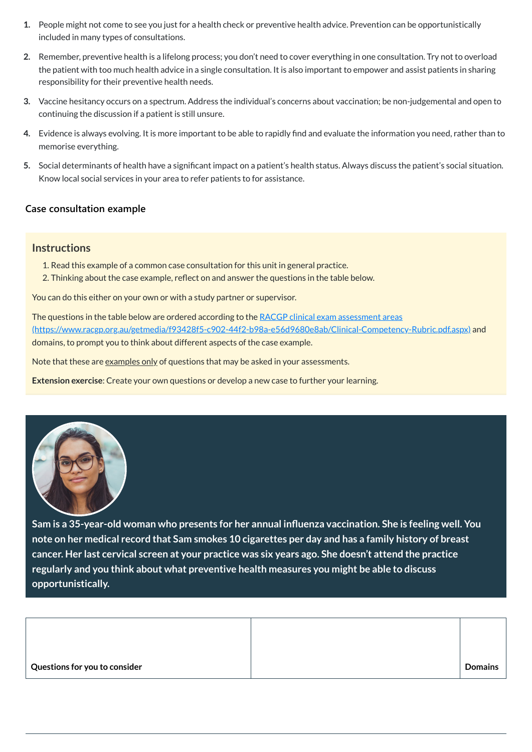- **1.** People might not come to see you just for a health check or preventive health advice. Prevention can be opportunistically included in many types of consultations.
- **2.** Remember, preventive health is a lifelong process; you don't need to cover everything in one consultation. Try not to overload the patient with too much health advice in a single consultation. It is also important to empower and assist patients in sharing responsibility for their preventive health needs.
- **3.** Vaccine hesitancy occurs on a spectrum. Address the individual's concerns about vaccination; be non-judgemental and open to continuing the discussion if a patient is still unsure.
- **4.** Evidence is always evolving. It is more important to be able to rapidly find and evaluate the information you need, rather than to memorise everything.
- **5.** Social determinants of health have a significant impact on a patient's health status. Always discuss the patient's social situation. Know local social services in your area to refer patients to for assistance.

The questions in the table below are ordered according to the RACGP clinical exam assessment areas [\(https://www.racgp.org.au/getmedia/f93428f5-c902-44f2-b98a-e56d9680e8ab/Clinical-Competency-Rubric.pdf.aspx\)](https://www.racgp.org.au/getmedia/f93428f5-c902-44f2-b98a-e56d9680e8ab/Clinical-Competency-Rubric.pdf.aspx) and domains, to prompt you to think about different aspects of the case example.

Note that these are examples only of questions that may be asked in your assessments.

## **[Case consultation example](javascript:void(0))**

## **Instructions**

- 1. Read this example of a common case consultation for this unit in general practice.
- 2. Thinking about the case example, reflect on and answer the questions in the table below.

You can do this either on your own or with a study partner or supervisor.

**Extension exercise**: Create your own questions or develop a new case to further your learning.



**Sam is a 35-year-old woman who presents for her annual influenza vaccination. She is feeling well. You** note on her medical record that Sam smokes 10 cigarettes per day and has a family history of breast **cancer. Her last cervical screen at your practice was six years ago. She doesn't attend the practice**

## **regularly and you think about what preventive health measures you might be able to discuss opportunistically.**

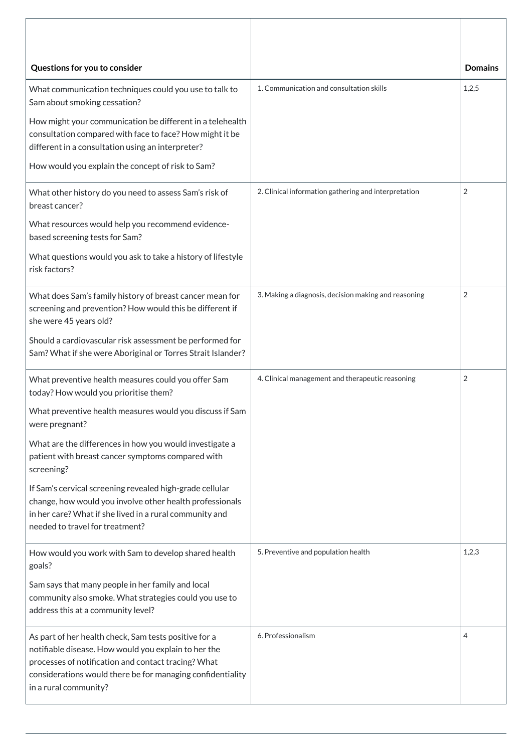| Questions for you to consider                                                                                                                                                                                      |                                                      | <b>Domains</b> |
|--------------------------------------------------------------------------------------------------------------------------------------------------------------------------------------------------------------------|------------------------------------------------------|----------------|
| What communication techniques could you use to talk to<br>Sam about smoking cessation?                                                                                                                             | 1. Communication and consultation skills             | 1,2,5          |
| How might your communication be different in a telehealth<br>consultation compared with face to face? How might it be<br>different in a consultation using an interpreter?                                         |                                                      |                |
| How would you explain the concept of risk to Sam?                                                                                                                                                                  |                                                      |                |
| What other history do you need to assess Sam's risk of<br>breast cancer?                                                                                                                                           | 2. Clinical information gathering and interpretation | $\overline{2}$ |
| What resources would help you recommend evidence-<br>based screening tests for Sam?                                                                                                                                |                                                      |                |
| What questions would you ask to take a history of lifestyle<br>risk factors?                                                                                                                                       |                                                      |                |
| What does Sam's family history of breast cancer mean for<br>screening and prevention? How would this be different if<br>she were 45 years old?                                                                     | 3. Making a diagnosis, decision making and reasoning | 2              |
| Should a cardiovascular risk assessment be performed for<br>Sam? What if she were Aboriginal or Torres Strait Islander?                                                                                            |                                                      |                |
| What preventive health measures could you offer Sam<br>today? How would you prioritise them?                                                                                                                       | 4. Clinical management and therapeutic reasoning     | $\overline{2}$ |
| What preventive health measures would you discuss if Sam<br>were pregnant?                                                                                                                                         |                                                      |                |
| What are the differences in how you would investigate a<br>patient with breast cancer symptoms compared with<br>screening?                                                                                         |                                                      |                |
| If Sam's cervical screening revealed high-grade cellular<br>change, how would you involve other health professionals<br>in her care? What if she lived in a rural community and<br>needed to travel for treatment? |                                                      |                |
| How would you work with Sam to develop shared health<br>goals?                                                                                                                                                     | 5. Preventive and population health                  | 1,2,3          |

| suus.<br>Sam says that many people in her family and local<br>community also smoke. What strategies could you use to<br>address this at a community level?                                                                                                  |                    |   |
|-------------------------------------------------------------------------------------------------------------------------------------------------------------------------------------------------------------------------------------------------------------|--------------------|---|
| As part of her health check, Sam tests positive for a<br>notifiable disease. How would you explain to her the<br>processes of notification and contact tracing? What<br>considerations would there be for managing confidentiality<br>in a rural community? | 6. Professionalism | 4 |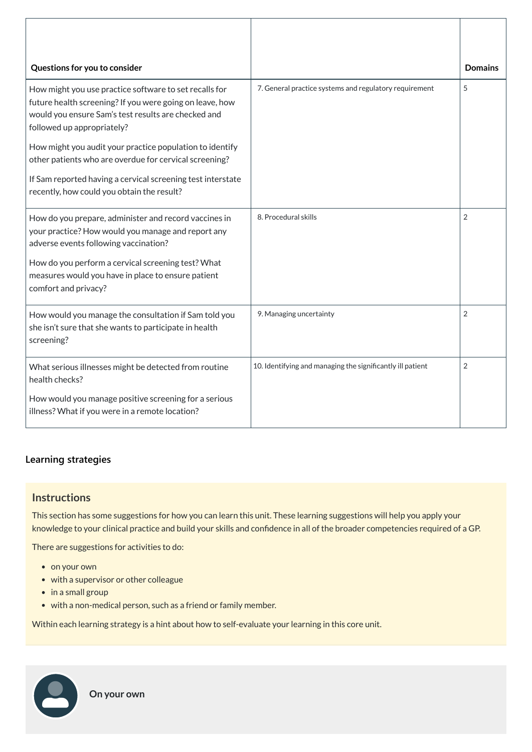| Questions for you to consider                                                                                                                                                                           |                                                            | <b>Domains</b> |
|---------------------------------------------------------------------------------------------------------------------------------------------------------------------------------------------------------|------------------------------------------------------------|----------------|
| How might you use practice software to set recalls for<br>future health screening? If you were going on leave, how<br>would you ensure Sam's test results are checked and<br>followed up appropriately? | 7. General practice systems and regulatory requirement     | 5              |
| How might you audit your practice population to identify<br>other patients who are overdue for cervical screening?                                                                                      |                                                            |                |
| If Sam reported having a cervical screening test interstate<br>recently, how could you obtain the result?                                                                                               |                                                            |                |
| How do you prepare, administer and record vaccines in<br>your practice? How would you manage and report any<br>adverse events following vaccination?                                                    | 8. Procedural skills                                       | $\overline{2}$ |
| How do you perform a cervical screening test? What<br>measures would you have in place to ensure patient<br>comfort and privacy?                                                                        |                                                            |                |
| How would you manage the consultation if Sam told you<br>she isn't sure that she wants to participate in health<br>screening?                                                                           | 9. Managing uncertainty                                    | $\overline{2}$ |
| What serious illnesses might be detected from routine<br>health checks?                                                                                                                                 | 10. Identifying and managing the significantly ill patient | 2              |
| How would you manage positive screening for a serious<br>illness? What if you were in a remote location?                                                                                                |                                                            |                |

## **[Learning strategies](javascript:void(0))**

## **Instructions**

This section has some suggestions for how you can learn this unit. These learning suggestions will help you apply your knowledge to your clinical practice and build your skills and confidence in all of the broader competencies required of a GP.

There are suggestions for activities to do:

- on your own
- with a supervisor or other colleague
- $\bullet$  in a small group
- with a non-medical person, such as a friend or family member.

Within each learning strategy is a hint about how to self-evaluate your learning in this core unit.

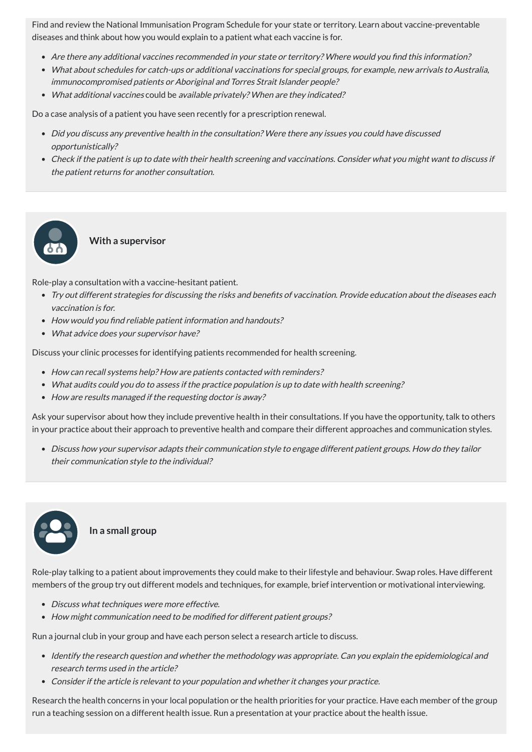Find and review the National Immunisation Program Schedule for your state or territory. Learn about vaccine-preventable diseases and think about how you would explain to a patient what each vaccine is for.

- Are there any additional vaccines recommended in your state or territory? Where would you find this information?
- What about schedules for catch-ups or additional vaccinations for special groups, for example, new arrivals to Australia, immunocompromised patients or Aboriginal and Torres Strait Islander people?
- What additional vaccines could be available privately? When are they indicated?

Do a case analysis of a patient you have seen recently for a prescription renewal.

- Did you discuss any preventive health in the consultation? Were there any issues you could have discussed opportunistically?
- Check if the patient is up to date with their health screening and vaccinations. Consider what you might want to discuss if the patient returns for another consultation.

#### **With a supervisor**

Role-play a consultation with a vaccine-hesitant patient.

- Try out different strategies for discussing the risks and benefits of vaccination. Provide education about the diseases each vaccination is for.
- How would you find reliable patient information and handouts?
- What advice does your supervisor have?

Discuss your clinic processes for identifying patients recommended for health screening.

- How can recall systems help? How are patients contacted with reminders?
- What audits could you do to assess if the practice population is up to date with health screening?
- How are results managed if the requesting doctor is away?

- Identify the research question and whether the methodology was appropriate. Can you explain the epidemiological and research terms used in the article?
- Consider if the article is relevant to your population and whether it changes your practice.

Ask your supervisor about how they include preventive health in their consultations. If you have the opportunity, talk to others in your practice about their approach to preventive health and compare their different approaches and communication styles.

Discuss how your supervisor adapts their communication style to engage different patient groups. How do they tailor their communication style to the individual?



Role-play talking to a patient about improvements they could make to their lifestyle and behaviour. Swap roles. Have different members of the group try out different models and techniques, for example, brief intervention or motivational interviewing.

- Discuss what techniques were more effective.
- How might communication need to be modified for different patient groups?

Run a journal club in your group and have each person select a research article to discuss.

Research the health concerns in your local population or the health priorities for your practice. Have each member of the group run a teaching session on a different health issue. Run a presentation at your practice about the health issue.

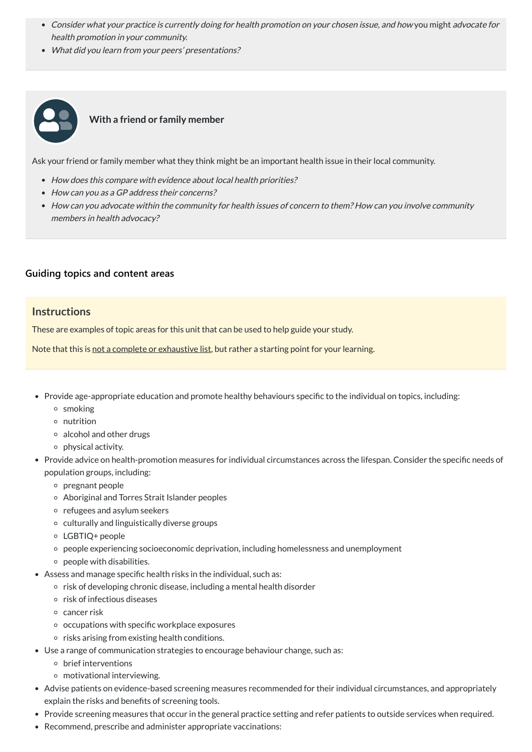- Consider what your practice is currently doing for health promotion on your chosen issue, and how you might advocate for health promotion in your community.
- What did you learn from your peers' presentations?



## **With a friend or family member**

Ask your friend or family member what they think might be an important health issue in their local community.

- How does this compare with evidence about local health priorities?
- How can you as a GP address their concerns?
- How can you advocate within the community for health issues of concern to them? How can you involve community members in health advocacy?

### **[Guiding topics and content areas](javascript:void(0))**

## **Instructions**

These are examples of topic areas for this unit that can be used to help guide your study.

Note that this is not a complete or exhaustive list, but rather a starting point for your learning.

- Provide age-appropriate education and promote healthy behaviours specific to the individual on topics, including:
	- smoking
	- nutrition
	- $\circ$  alcohol and other drugs
	- $\circ$  physical activity.
- Provide advice on health-promotion measures for individual circumstances across the lifespan. Consider the specific needs of population groups, including:
	- pregnant people
	- Aboriginal and Torres Strait Islander peoples
	- $\circ$  refugees and asylum seekers
	- culturally and linguistically diverse groups
	- LGBTIQ+ people
	- people experiencing socioeconomic deprivation, including homelessness and unemployment
	- $\circ$  people with disabilities.
- Assess and manage specific health risks in the individual, such as:
	- $\circ$  risk of developing chronic disease, including a mental health disorder
	- $\circ$  risk of infectious diseases
	- $\circ$  cancer risk
	- $\circ$  occupations with specific workplace exposures
	- $\circ$  risks arising from existing health conditions.
- Use a range of communication strategies to encourage behaviour change, such as:
	- brief interventions
	- motivational interviewing.
- Advise patients on evidence-based screening measures recommended for their individual circumstances, and appropriately explain the risks and benefits of screening tools.
- Provide screening measures that occur in the general practice setting and refer patients to outside services when required.
- Recommend, prescribe and administer appropriate vaccinations: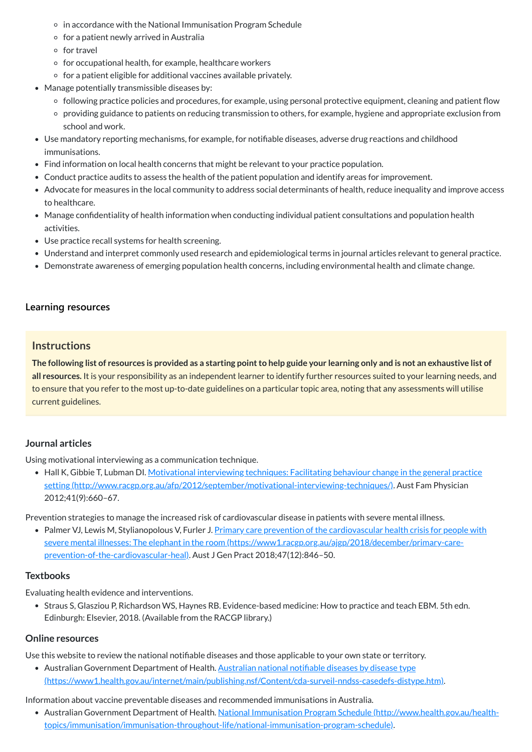- $\circ$  in accordance with the National Immunisation Program Schedule
- $\circ$  for a patient newly arrived in Australia
- o for travel
- $\circ$  for occupational health, for example, healthcare workers
- $\circ$  for a patient eligible for additional vaccines available privately.
- Manage potentially transmissible diseases by:
	- o following practice policies and procedures, for example, using personal protective equipment, cleaning and patient flow
	- providing guidance to patients on reducing transmission to others, for example, hygiene and appropriate exclusion from school and work.
- Use mandatory reporting mechanisms, for example, for notifiable diseases, adverse drug reactions and childhood immunisations.
- Find information on local health concerns that might be relevant to your practice population.
- Conduct practice audits to assess the health of the patient population and identify areas for improvement.
- Advocate for measures in the local community to address social determinants of health, reduce inequality and improve access to healthcare.
- Manage confidentiality of health information when conducting individual patient consultations and population health activities.
- Use practice recall systems for health screening.
- Understand and interpret commonly used research and epidemiological terms in journal articles relevant to general practice.
- Demonstrate awareness of emerging population health concerns, including environmental health and climate change.

The following list of resources is provided as a starting point to help guide your learning only and is not an exhaustive list of **all resources.** It is your responsibility as an independent learner to identify further resources suited to your learning needs, and to ensure that you refer to the most up-to-date guidelines on a particular topic area, noting that any assessments will utilise current guidelines.

• Hall K, Gibbie T, Lubman DI. Motivational interviewing techniques: Facilitating behaviour change in the general practice setting [\(http://www.racgp.org.au/afp/2012/september/motivational-interviewing-techniques/\).](http://www.racgp.org.au/afp/2012/september/motivational-interviewing-techniques/) Aust Fam Physician 2012;41(9):660–67.

• Palmer VJ, Lewis M, Stylianopolous V, Furler J. Primary care prevention of the cardiovascular health crisis for people with severe mental illnesses: The elephant in the room [\(https://www1.racgp.org.au/ajgp/2018/december/primary-care](https://www1.racgp.org.au/ajgp/2018/december/primary-care-prevention-of-the-cardiovascular-heal)prevention-of-the-cardiovascular-heal). Aust J Gen Pract 2018;47(12):846–50.

• Straus S, Glasziou P, Richardson WS, Haynes RB. Evidence-based medicine: How to practice and teach EBM. 5th edn. Edinburgh: Elsevier, 2018. (Available from the RACGP library.)

## **[Learning resources](javascript:void(0))**

## **Instructions**

## **Journal articles**

Using motivational interviewing as a communication technique.

Prevention strategies to manage the increased risk of cardiovascular disease in patients with severe mental illness.

#### **Textbooks**

Evaluating health evidence and interventions.

### **Online resources**

Use this website to review the national notifiable diseases and those applicable to your own state or territory.

• Australian Government Department of Health. Australian national notifiable diseases by disease type

[\(https://www1.health.gov.au/internet/main/publishing.nsf/Content/cda-surveil-nndss-casedefs-distype.htm\)](https://www1.health.gov.au/internet/main/publishing.nsf/Content/cda-surveil-nndss-casedefs-distype.htm).

Information about vaccine preventable diseases and recommended immunisations in Australia.

Australian Government Department of Health. National Immunisation Program Schedule (http://www.health.gov.au/health[topics/immunisation/immunisation-throughout-life/national-immunisation-program-schedule\).](http://www.health.gov.au/health-topics/immunisation/immunisation-throughout-life/national-immunisation-program-schedule)